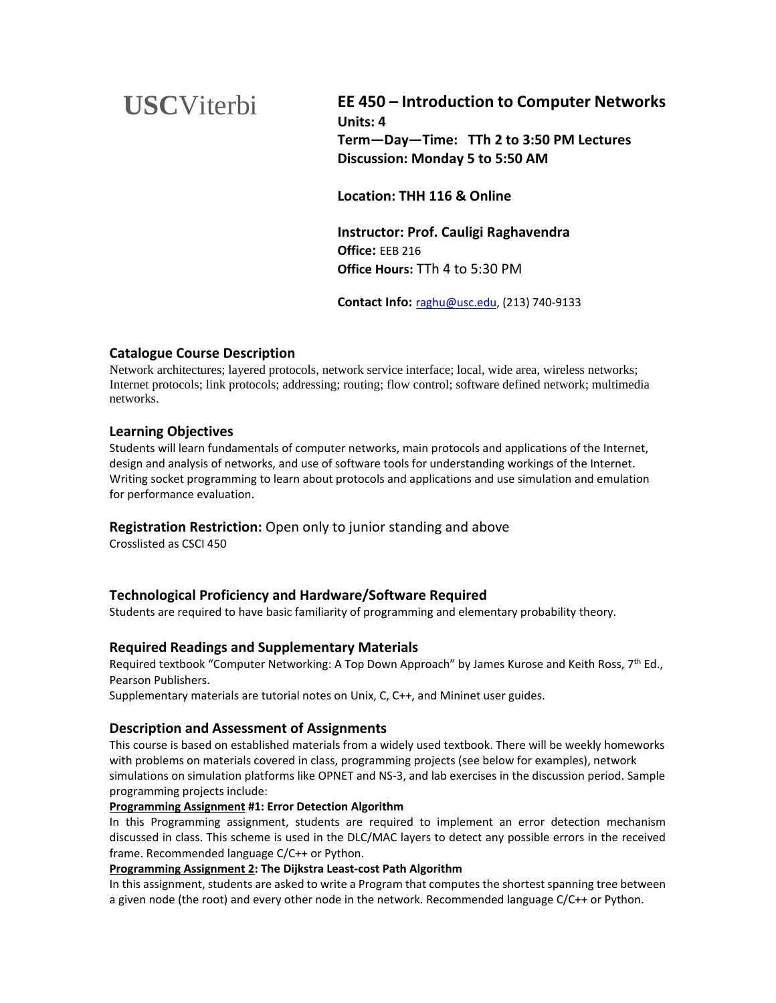# **USC**Viterbi

**EE 450 – Introduction to Computer Networks Units: 4 Term—Day—Time: TTh 2 to 3:50 PM Lectures Discussion: Monday 5 to 5:50 AM**

**Location: THH 116 & Online**

**Instructor: Prof. Cauligi Raghavendra Office:** EEB 216 **Office Hours:** TTh 4 to 5:30 PM

**Contact Info:** [raghu@usc.edu,](mailto:raghu@usc.edu) (213) 740-9133

# **Catalogue Course Description**

Network architectures; layered protocols, network service interface; local, wide area, wireless networks; Internet protocols; link protocols; addressing; routing; flow control; software defined network; multimedia networks.

## **Learning Objectives**

Students will learn fundamentals of computer networks, main protocols and applications of the Internet, design and analysis of networks, and use of software tools for understanding workings of the Internet. Writing socket programming to learn about protocols and applications and use simulation and emulation for performance evaluation.

## **Registration Restriction:** Open only to junior standing and above

Crosslisted as CSCI 450

# **Technological Proficiency and Hardware/Software Required**

Students are required to have basic familiarity of programming and elementary probability theory.

## **Required Readings and Supplementary Materials**

Required textbook "Computer Networking: A Top Down Approach" by James Kurose and Keith Ross, 7th Ed., Pearson Publishers.

Supplementary materials are tutorial notes on Unix, C, C++, and Mininet user guides.

## **Description and Assessment of Assignments**

This course is based on established materials from a widely used textbook. There will be weekly homeworks with problems on materials covered in class, programming projects (see below for examples), network simulations on simulation platforms like OPNET and NS-3, and lab exercises in the discussion period. Sample programming projects include:

#### **Programming Assignment #1: Error Detection Algorithm**

In this Programming assignment, students are required to implement an error detection mechanism discussed in class. This scheme is used in the DLC/MAC layers to detect any possible errors in the received frame. Recommended language C/C++ or Python.

#### **Programming Assignment 2: The Dijkstra Least-cost Path Algorithm**

In this assignment, students are asked to write a Program that computes the shortest spanning tree between a given node (the root) and every other node in the network. Recommended language C/C++ or Python.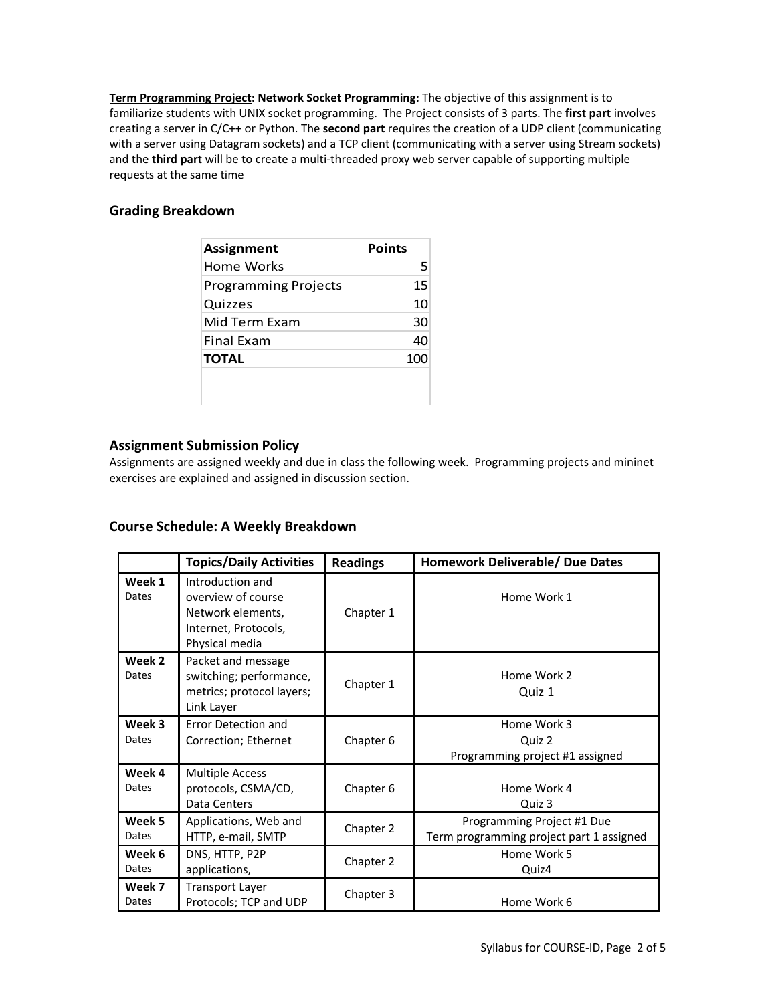**Term Programming Project: Network Socket Programming:** The objective of this assignment is to familiarize students with UNIX socket programming. The Project consists of 3 parts. The **first part** involves creating a server in C/C++ or Python. The **second part** requires the creation of a UDP client (communicating with a server using Datagram sockets) and a TCP client (communicating with a server using Stream sockets) and the **third part** will be to create a multi-threaded proxy web server capable of supporting multiple requests at the same time

# **Grading Breakdown**

| Assignment                  | <b>Points</b> |
|-----------------------------|---------------|
| Home Works                  | 5             |
| <b>Programming Projects</b> | 15            |
| Quizzes                     | 10            |
| Mid Term Fxam               | 30            |
| <b>Final Exam</b>           | 40            |
| <b>TOTAL</b>                | 100           |
|                             |               |
|                             |               |

# **Assignment Submission Policy**

Assignments are assigned weekly and due in class the following week. Programming projects and mininet exercises are explained and assigned in discussion section.

# **Course Schedule: A Weekly Breakdown**

|                 | <b>Topics/Daily Activities</b>                                                                        | <b>Readings</b> | <b>Homework Deliverable/ Due Dates</b>                                 |
|-----------------|-------------------------------------------------------------------------------------------------------|-----------------|------------------------------------------------------------------------|
| Week 1<br>Dates | Introduction and<br>overview of course<br>Network elements,<br>Internet, Protocols,<br>Physical media | Chapter 1       | Home Work 1                                                            |
| Week 2<br>Dates | Packet and message<br>switching; performance,<br>metrics; protocol layers;<br>Link Layer              | Chapter 1       | Home Work 2<br>Quiz 1                                                  |
| Week 3<br>Dates | Error Detection and<br>Correction; Ethernet                                                           | Chapter 6       | Home Work 3<br>Quiz 2<br>Programming project #1 assigned               |
| Week 4<br>Dates | <b>Multiple Access</b><br>protocols, CSMA/CD,<br>Data Centers                                         | Chapter 6       | Home Work 4<br>Quiz 3                                                  |
| Week 5<br>Dates | Applications, Web and<br>HTTP, e-mail, SMTP                                                           | Chapter 2       | Programming Project #1 Due<br>Term programming project part 1 assigned |
| Week 6<br>Dates | DNS, HTTP, P2P<br>applications,                                                                       | Chapter 2       | Home Work 5<br>Quiz4                                                   |
| Week 7<br>Dates | <b>Transport Layer</b><br>Protocols; TCP and UDP                                                      | Chapter 3       | Home Work 6                                                            |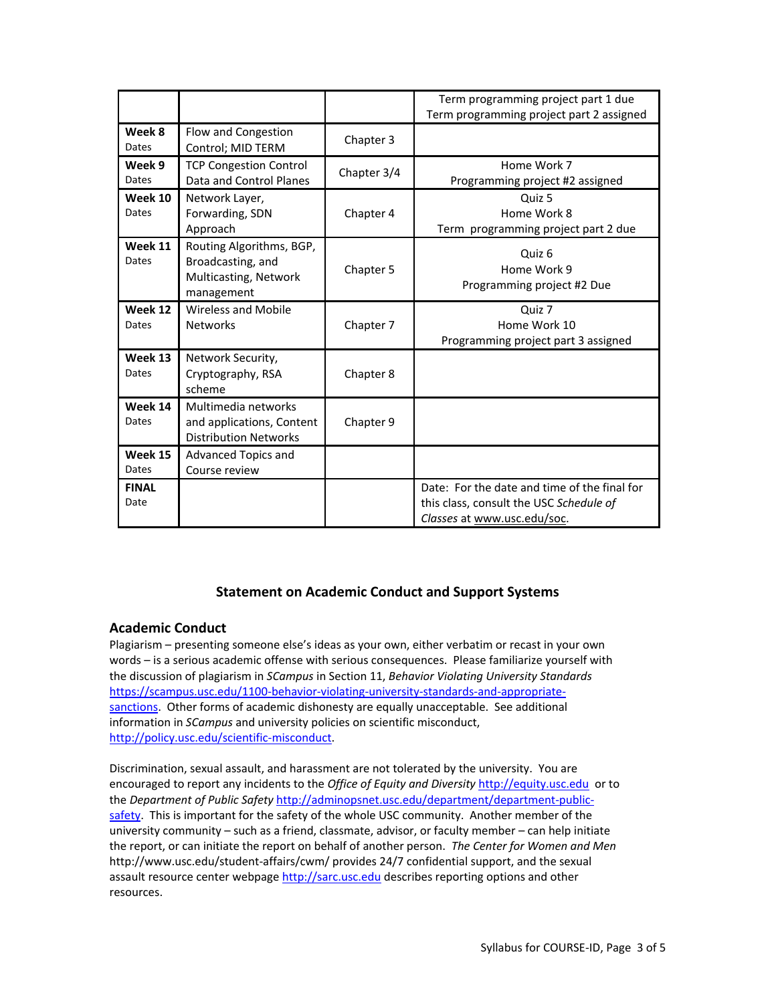|                      |                                                                                      |             | Term programming project part 1 due<br>Term programming project part 2 assigned                                        |
|----------------------|--------------------------------------------------------------------------------------|-------------|------------------------------------------------------------------------------------------------------------------------|
| Week 8<br>Dates      | Flow and Congestion<br>Control; MID TERM                                             | Chapter 3   |                                                                                                                        |
| Week 9<br>Dates      | <b>TCP Congestion Control</b><br>Data and Control Planes                             | Chapter 3/4 | Home Work 7<br>Programming project #2 assigned                                                                         |
| Week 10<br>Dates     | Network Layer,<br>Forwarding, SDN<br>Approach                                        | Chapter 4   | Quiz 5<br>Home Work 8<br>Term programming project part 2 due                                                           |
| Week 11<br>Dates     | Routing Algorithms, BGP,<br>Broadcasting, and<br>Multicasting, Network<br>management | Chapter 5   | Quiz 6<br>Home Work 9<br>Programming project #2 Due                                                                    |
| Week 12<br>Dates     | Wireless and Mobile<br><b>Networks</b>                                               | Chapter 7   | Quiz 7<br>Home Work 10<br>Programming project part 3 assigned                                                          |
| Week 13<br>Dates     | Network Security,<br>Cryptography, RSA<br>scheme                                     | Chapter 8   |                                                                                                                        |
| Week 14<br>Dates     | Multimedia networks<br>and applications, Content<br><b>Distribution Networks</b>     | Chapter 9   |                                                                                                                        |
| Week 15<br>Dates     | Advanced Topics and<br>Course review                                                 |             |                                                                                                                        |
| <b>FINAL</b><br>Date |                                                                                      |             | Date: For the date and time of the final for<br>this class, consult the USC Schedule of<br>Classes at www.usc.edu/soc. |

# **Statement on Academic Conduct and Support Systems**

## **Academic Conduct**

Plagiarism – presenting someone else's ideas as your own, either verbatim or recast in your own words – is a serious academic offense with serious consequences. Please familiarize yourself with the discussion of plagiarism in *SCampus* in Section 11, *Behavior Violating University Standards* [https://scampus.usc.edu/1100-behavior-violating-university-standards-and-appropriate](https://scampus.usc.edu/1100-behavior-violating-university-standards-and-appropriate-sanctions/)[sanctions.](https://scampus.usc.edu/1100-behavior-violating-university-standards-and-appropriate-sanctions/) Other forms of academic dishonesty are equally unacceptable. See additional information in *SCampus* and university policies on scientific misconduct, [http://policy.usc.edu/scientific-misconduct.](http://policy.usc.edu/scientific-misconduct/)

Discrimination, sexual assault, and harassment are not tolerated by the university. You are encouraged to report any incidents to the *Office of Equity and Diversity* [http://equity.usc.edu](http://equity.usc.edu/) or to the *Department of Public Safety* [http://adminopsnet.usc.edu/department/department-public](http://adminopsnet.usc.edu/department/department-public-safety)[safety.](http://adminopsnet.usc.edu/department/department-public-safety) This is important for the safety of the whole USC community. Another member of the university community – such as a friend, classmate, advisor, or faculty member – can help initiate the report, or can initiate the report on behalf of another person. *The Center for Women and Men*  http://www.usc.edu/student-affairs/cwm/ provides 24/7 confidential support, and the sexual assault resource center webpag[e http://sarc.usc.edu](http://sarc.usc.edu/) describes reporting options and other resources.